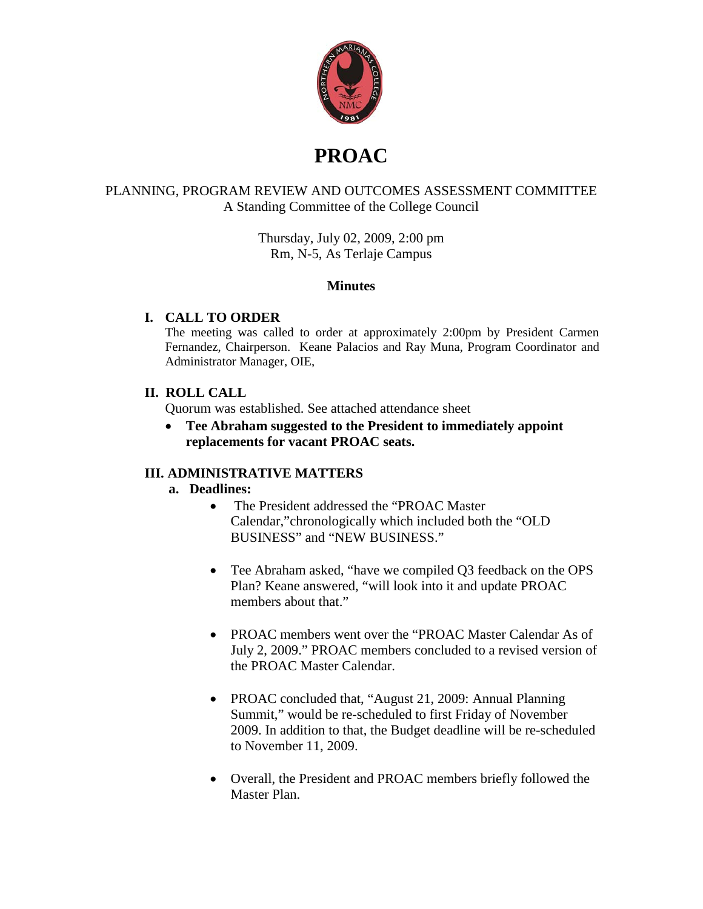

# **PROAC**

#### PLANNING, PROGRAM REVIEW AND OUTCOMES ASSESSMENT COMMITTEE A Standing Committee of the College Council

Thursday, July 02, 2009, 2:00 pm Rm, N-5, As Terlaje Campus

#### **Minutes**

#### **I. CALL TO ORDER**

The meeting was called to order at approximately 2:00pm by President Carmen Fernandez, Chairperson. Keane Palacios and Ray Muna, Program Coordinator and Administrator Manager, OIE,

## **II. ROLL CALL**

Quorum was established. See attached attendance sheet

• **Tee Abraham suggested to the President to immediately appoint replacements for vacant PROAC seats.**

#### **III. ADMINISTRATIVE MATTERS**

#### **a. Deadlines:**

- The President addressed the "PROAC Master Calendar,"chronologically which included both the "OLD BUSINESS" and "NEW BUSINESS."
- Tee Abraham asked, "have we compiled Q3 feedback on the OPS Plan? Keane answered, "will look into it and update PROAC members about that."
- PROAC members went over the "PROAC Master Calendar As of July 2, 2009." PROAC members concluded to a revised version of the PROAC Master Calendar.
- PROAC concluded that, "August 21, 2009: Annual Planning Summit," would be re-scheduled to first Friday of November 2009. In addition to that, the Budget deadline will be re-scheduled to November 11, 2009.
- Overall, the President and PROAC members briefly followed the Master Plan.